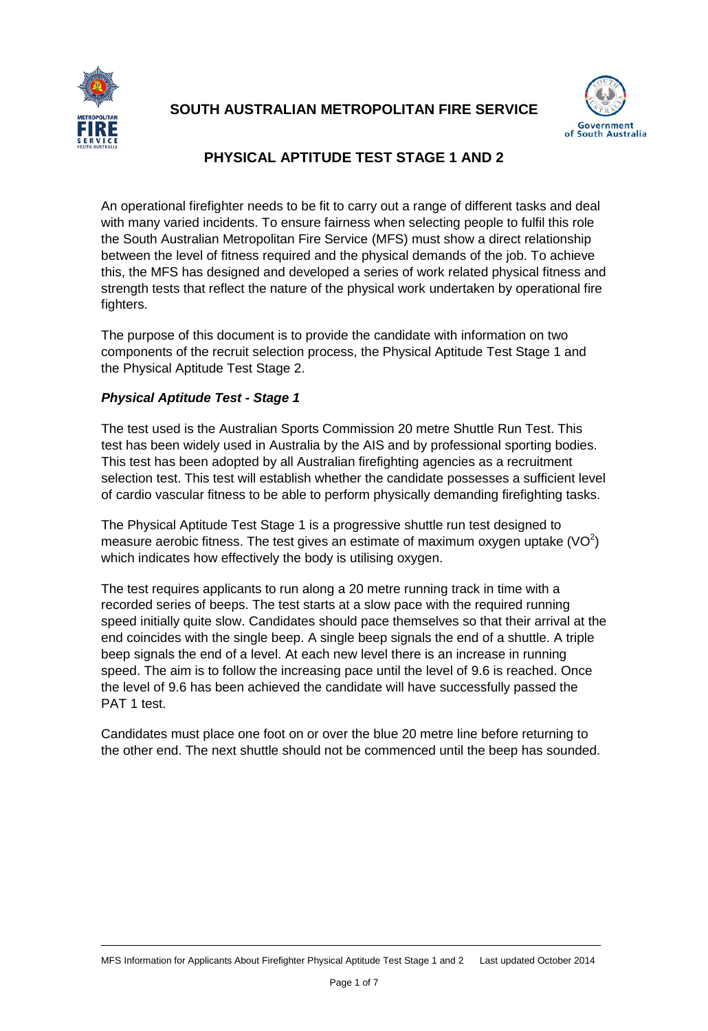

# **SOUTH AUSTRALIAN METROPOLITAN FIRE SERVICE**



# **PHYSICAL APTITUDE TEST STAGE 1 AND 2**

An operational firefighter needs to be fit to carry out a range of different tasks and deal with many varied incidents. To ensure fairness when selecting people to fulfil this role the South Australian Metropolitan Fire Service (MFS) must show a direct relationship between the level of fitness required and the physical demands of the job. To achieve this, the MFS has designed and developed a series of work related physical fitness and strength tests that reflect the nature of the physical work undertaken by operational fire fighters.

The purpose of this document is to provide the candidate with information on two components of the recruit selection process, the Physical Aptitude Test Stage 1 and the Physical Aptitude Test Stage 2.

# *Physical Aptitude Test - Stage 1*

The test used is the Australian Sports Commission 20 metre Shuttle Run Test. This test has been widely used in Australia by the AIS and by professional sporting bodies. This test has been adopted by all Australian firefighting agencies as a recruitment selection test. This test will establish whether the candidate possesses a sufficient level of cardio vascular fitness to be able to perform physically demanding firefighting tasks.

The Physical Aptitude Test Stage 1 is a progressive shuttle run test designed to measure aerobic fitness. The test gives an estimate of maximum oxygen uptake  $(VO<sup>2</sup>)$ which indicates how effectively the body is utilising oxygen.

The test requires applicants to run along a 20 metre running track in time with a recorded series of beeps. The test starts at a slow pace with the required running speed initially quite slow. Candidates should pace themselves so that their arrival at the end coincides with the single beep. A single beep signals the end of a shuttle. A triple beep signals the end of a level. At each new level there is an increase in running speed. The aim is to follow the increasing pace until the level of 9.6 is reached. Once the level of 9.6 has been achieved the candidate will have successfully passed the PAT 1 test.

Candidates must place one foot on or over the blue 20 metre line before returning to the other end. The next shuttle should not be commenced until the beep has sounded.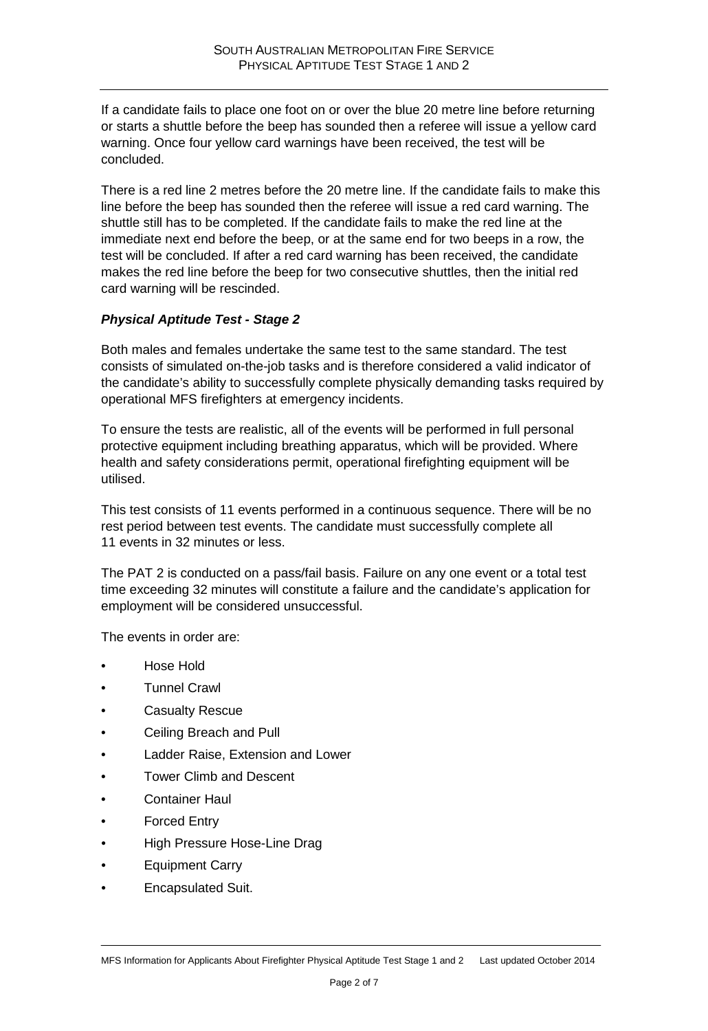If a candidate fails to place one foot on or over the blue 20 metre line before returning or starts a shuttle before the beep has sounded then a referee will issue a yellow card warning. Once four yellow card warnings have been received, the test will be concluded.

There is a red line 2 metres before the 20 metre line. If the candidate fails to make this line before the beep has sounded then the referee will issue a red card warning. The shuttle still has to be completed. If the candidate fails to make the red line at the immediate next end before the beep, or at the same end for two beeps in a row, the test will be concluded. If after a red card warning has been received, the candidate makes the red line before the beep for two consecutive shuttles, then the initial red card warning will be rescinded.

### *Physical Aptitude Test - Stage 2*

Both males and females undertake the same test to the same standard. The test consists of simulated on-the-job tasks and is therefore considered a valid indicator of the candidate's ability to successfully complete physically demanding tasks required by operational MFS firefighters at emergency incidents.

To ensure the tests are realistic, all of the events will be performed in full personal protective equipment including breathing apparatus, which will be provided. Where health and safety considerations permit, operational firefighting equipment will be utilised.

This test consists of 11 events performed in a continuous sequence. There will be no rest period between test events. The candidate must successfully complete all 11 events in 32 minutes or less.

The PAT 2 is conducted on a pass/fail basis. Failure on any one event or a total test time exceeding 32 minutes will constitute a failure and the candidate's application for employment will be considered unsuccessful.

The events in order are:

- Hose Hold
- Tunnel Crawl
- Casualty Rescue
- Ceiling Breach and Pull
- Ladder Raise, Extension and Lower
- Tower Climb and Descent
- Container Haul
- Forced Entry
- High Pressure Hose-Line Drag
- Equipment Carry
- Encapsulated Suit.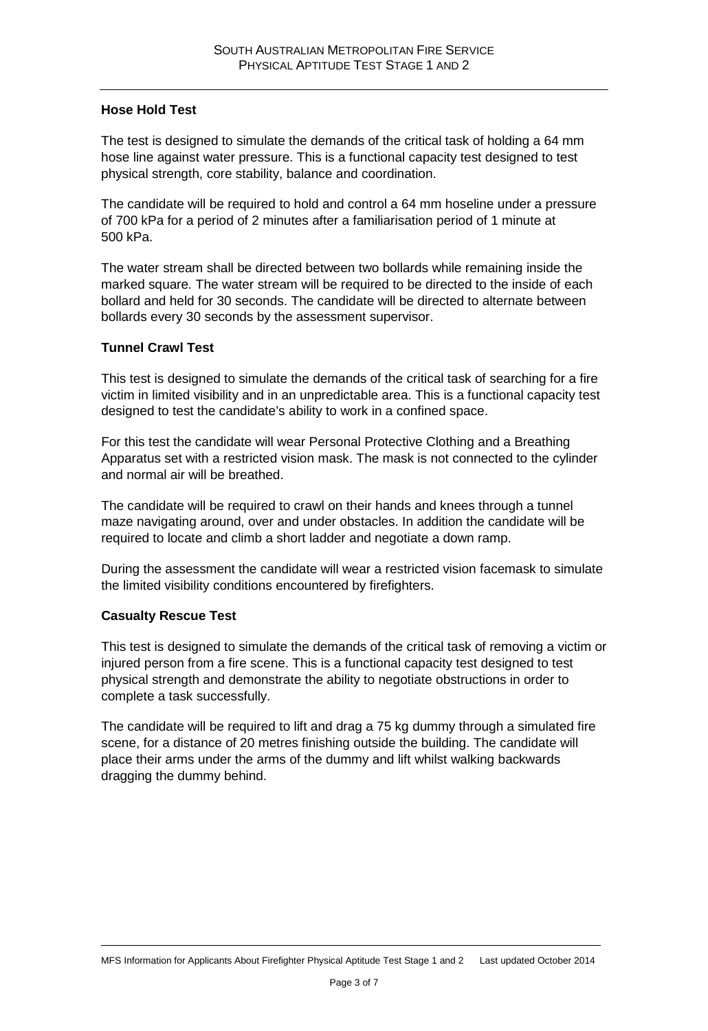### **Hose Hold Test**

The test is designed to simulate the demands of the critical task of holding a 64 mm hose line against water pressure. This is a functional capacity test designed to test physical strength, core stability, balance and coordination.

The candidate will be required to hold and control a 64 mm hoseline under a pressure of 700 kPa for a period of 2 minutes after a familiarisation period of 1 minute at 500 kPa.

The water stream shall be directed between two bollards while remaining inside the marked square*.* The water stream will be required to be directed to the inside of each bollard and held for 30 seconds. The candidate will be directed to alternate between bollards every 30 seconds by the assessment supervisor.

#### **Tunnel Crawl Test**

This test is designed to simulate the demands of the critical task of searching for a fire victim in limited visibility and in an unpredictable area. This is a functional capacity test designed to test the candidate's ability to work in a confined space.

For this test the candidate will wear Personal Protective Clothing and a Breathing Apparatus set with a restricted vision mask. The mask is not connected to the cylinder and normal air will be breathed.

The candidate will be required to crawl on their hands and knees through a tunnel maze navigating around, over and under obstacles. In addition the candidate will be required to locate and climb a short ladder and negotiate a down ramp.

During the assessment the candidate will wear a restricted vision facemask to simulate the limited visibility conditions encountered by firefighters.

### **Casualty Rescue Test**

This test is designed to simulate the demands of the critical task of removing a victim or injured person from a fire scene. This is a functional capacity test designed to test physical strength and demonstrate the ability to negotiate obstructions in order to complete a task successfully.

The candidate will be required to lift and drag a 75 kg dummy through a simulated fire scene, for a distance of 20 metres finishing outside the building. The candidate will place their arms under the arms of the dummy and lift whilst walking backwards dragging the dummy behind.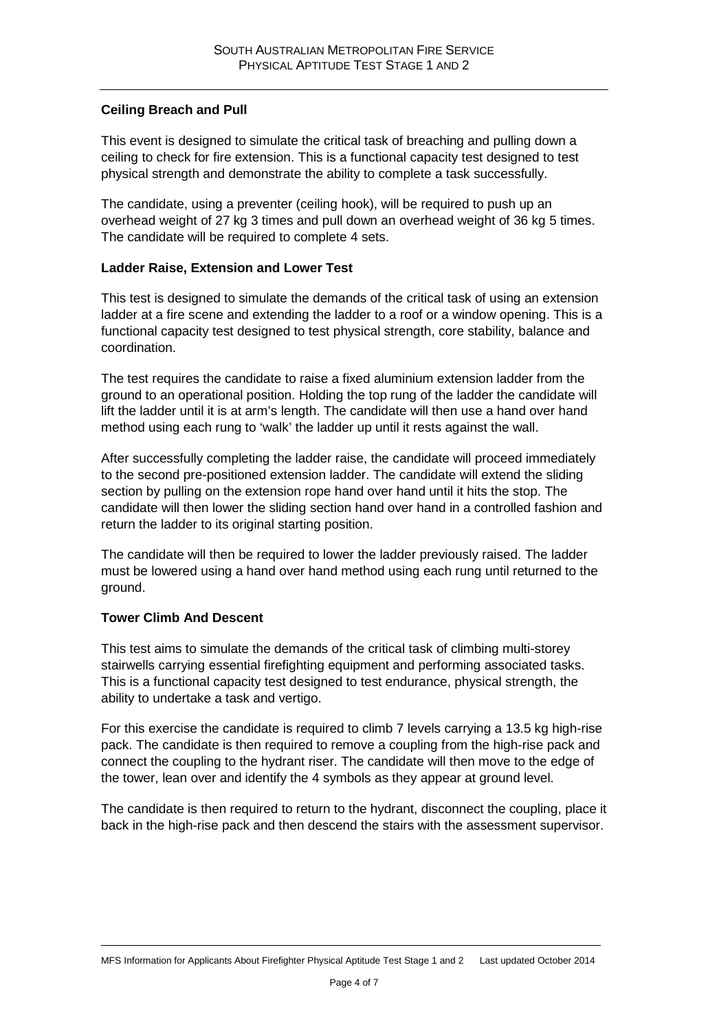### **Ceiling Breach and Pull**

This event is designed to simulate the critical task of breaching and pulling down a ceiling to check for fire extension. This is a functional capacity test designed to test physical strength and demonstrate the ability to complete a task successfully.

The candidate, using a preventer (ceiling hook), will be required to push up an overhead weight of 27 kg 3 times and pull down an overhead weight of 36 kg 5 times. The candidate will be required to complete 4 sets.

# **Ladder Raise, Extension and Lower Test**

This test is designed to simulate the demands of the critical task of using an extension ladder at a fire scene and extending the ladder to a roof or a window opening. This is a functional capacity test designed to test physical strength, core stability, balance and coordination.

The test requires the candidate to raise a fixed aluminium extension ladder from the ground to an operational position. Holding the top rung of the ladder the candidate will lift the ladder until it is at arm's length. The candidate will then use a hand over hand method using each rung to 'walk' the ladder up until it rests against the wall.

After successfully completing the ladder raise, the candidate will proceed immediately to the second pre-positioned extension ladder. The candidate will extend the sliding section by pulling on the extension rope hand over hand until it hits the stop. The candidate will then lower the sliding section hand over hand in a controlled fashion and return the ladder to its original starting position.

The candidate will then be required to lower the ladder previously raised. The ladder must be lowered using a hand over hand method using each rung until returned to the ground.

### **Tower Climb And Descent**

This test aims to simulate the demands of the critical task of climbing multi-storey stairwells carrying essential firefighting equipment and performing associated tasks. This is a functional capacity test designed to test endurance, physical strength, the ability to undertake a task and vertigo.

For this exercise the candidate is required to climb 7 levels carrying a 13.5 kg high-rise pack. The candidate is then required to remove a coupling from the high-rise pack and connect the coupling to the hydrant riser. The candidate will then move to the edge of the tower, lean over and identify the 4 symbols as they appear at ground level.

The candidate is then required to return to the hydrant, disconnect the coupling, place it back in the high-rise pack and then descend the stairs with the assessment supervisor.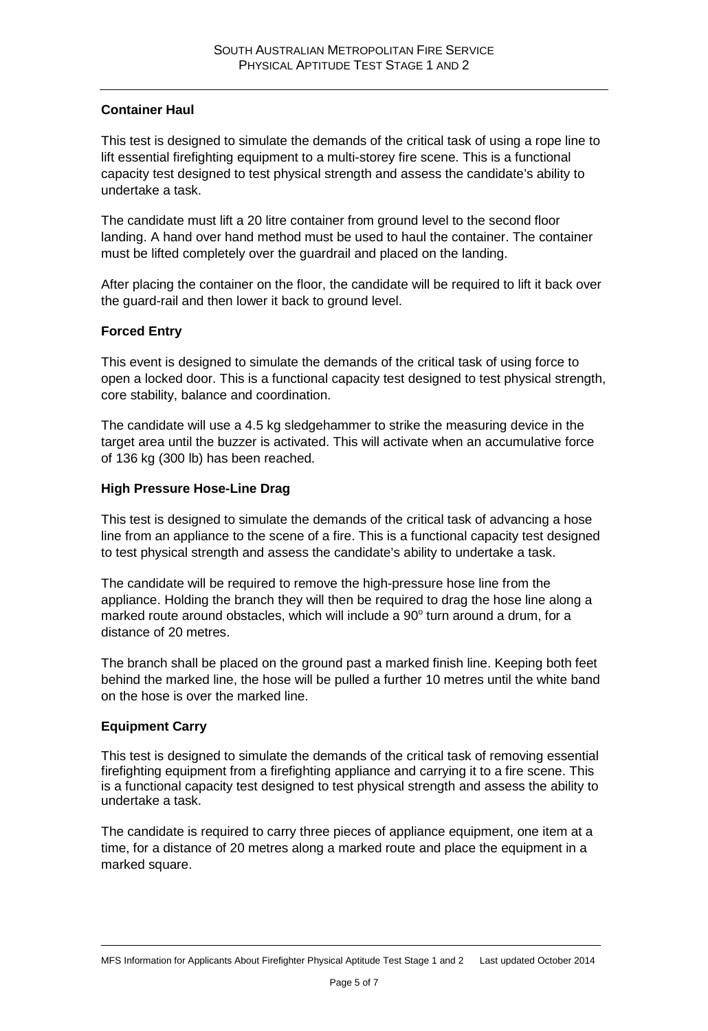## **Container Haul**

This test is designed to simulate the demands of the critical task of using a rope line to lift essential firefighting equipment to a multi-storey fire scene. This is a functional capacity test designed to test physical strength and assess the candidate's ability to undertake a task.

The candidate must lift a 20 litre container from ground level to the second floor landing. A hand over hand method must be used to haul the container. The container must be lifted completely over the guardrail and placed on the landing.

After placing the container on the floor, the candidate will be required to lift it back over the guard-rail and then lower it back to ground level.

### **Forced Entry**

This event is designed to simulate the demands of the critical task of using force to open a locked door. This is a functional capacity test designed to test physical strength, core stability, balance and coordination.

The candidate will use a 4.5 kg sledgehammer to strike the measuring device in the target area until the buzzer is activated. This will activate when an accumulative force of 136 kg (300 lb) has been reached.

#### **High Pressure Hose-Line Drag**

This test is designed to simulate the demands of the critical task of advancing a hose line from an appliance to the scene of a fire. This is a functional capacity test designed to test physical strength and assess the candidate's ability to undertake a task.

The candidate will be required to remove the high-pressure hose line from the appliance. Holding the branch they will then be required to drag the hose line along a marked route around obstacles, which will include a  $90^\circ$  turn around a drum, for a distance of 20 metres.

The branch shall be placed on the ground past a marked finish line. Keeping both feet behind the marked line, the hose will be pulled a further 10 metres until the white band on the hose is over the marked line.

### **Equipment Carry**

This test is designed to simulate the demands of the critical task of removing essential firefighting equipment from a firefighting appliance and carrying it to a fire scene. This is a functional capacity test designed to test physical strength and assess the ability to undertake a task.

The candidate is required to carry three pieces of appliance equipment, one item at a time, for a distance of 20 metres along a marked route and place the equipment in a marked square.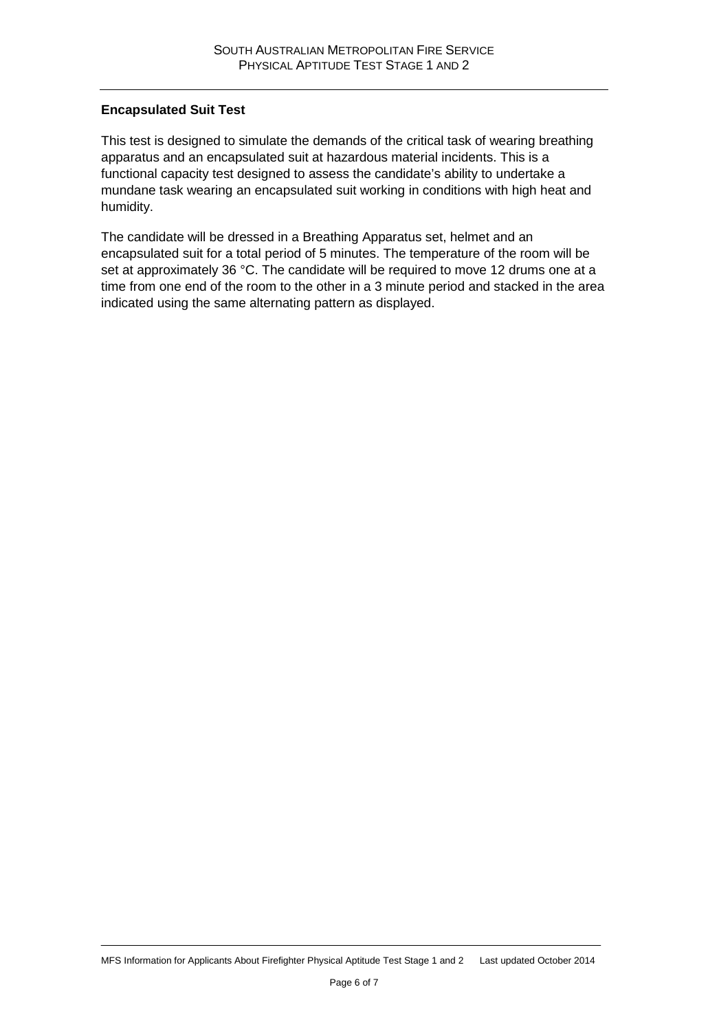#### **Encapsulated Suit Test**

This test is designed to simulate the demands of the critical task of wearing breathing apparatus and an encapsulated suit at hazardous material incidents. This is a functional capacity test designed to assess the candidate's ability to undertake a mundane task wearing an encapsulated suit working in conditions with high heat and humidity.

The candidate will be dressed in a Breathing Apparatus set, helmet and an encapsulated suit for a total period of 5 minutes. The temperature of the room will be set at approximately 36 °C. The candidate will be required to move 12 drums one at a time from one end of the room to the other in a 3 minute period and stacked in the area indicated using the same alternating pattern as displayed.